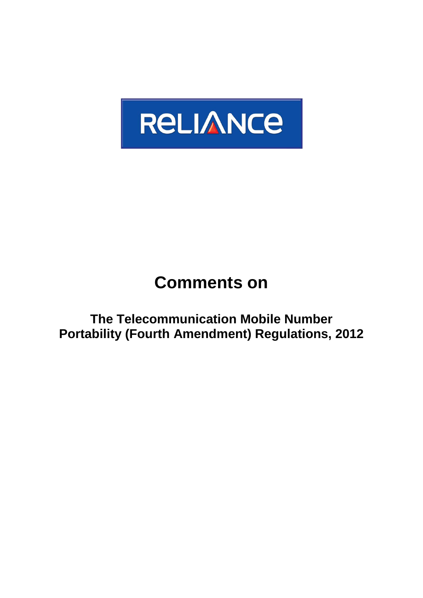

# **Comments on**

**The Telecommunication Mobile Number Portability (Fourth Amendment) Regulations, 2012**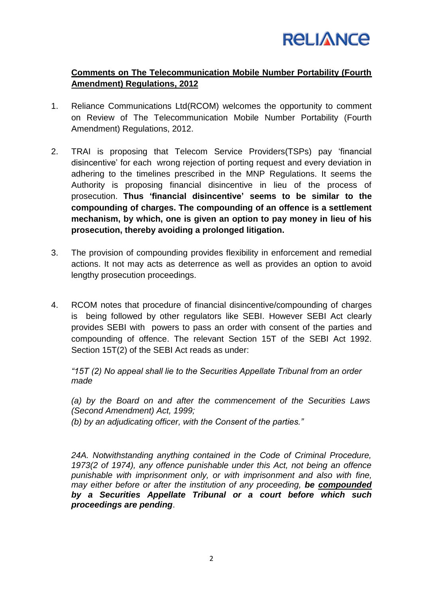

## **Comments on The Telecommunication Mobile Number Portability (Fourth Amendment) Regulations, 2012**

- 1. Reliance Communications Ltd(RCOM) welcomes the opportunity to comment on Review of The Telecommunication Mobile Number Portability (Fourth Amendment) Regulations, 2012.
- 2. TRAI is proposing that Telecom Service Providers(TSPs) pay "financial disincentive" for each wrong rejection of porting request and every deviation in adhering to the timelines prescribed in the MNP Regulations. It seems the Authority is proposing financial disincentive in lieu of the process of prosecution. **Thus "financial disincentive" seems to be similar to the compounding of charges. The compounding of an offence is a settlement mechanism, by which, one is given an option to pay money in lieu of his prosecution, thereby avoiding a prolonged litigation.**
- 3. The provision of compounding provides flexibility in enforcement and remedial actions. It not may acts as deterrence as well as provides an option to avoid lengthy prosecution proceedings.
- 4. RCOM notes that procedure of financial disincentive/compounding of charges is being followed by other regulators like SEBI. However SEBI Act clearly provides SEBI with powers to pass an order with consent of the parties and compounding of offence. The relevant Section 15T of the SEBI Act 1992. Section 15T(2) of the SEBI Act reads as under:

*"15T (2) No appeal shall lie to the Securities Appellate Tribunal from an order made*

*(a) by the Board on and after the commencement of the Securities Laws (Second Amendment) Act, 1999;*

*(b) by an adjudicating officer, with the Consent of the parties."*

*24A. Notwithstanding anything contained in the Code of Criminal Procedure, 1973(2 of 1974), any offence punishable under this Act, not being an offence punishable with imprisonment only, or with imprisonment and also with fine, may either before or after the institution of any proceeding, be compounded by a Securities Appellate Tribunal or a court before which such proceedings are pending*.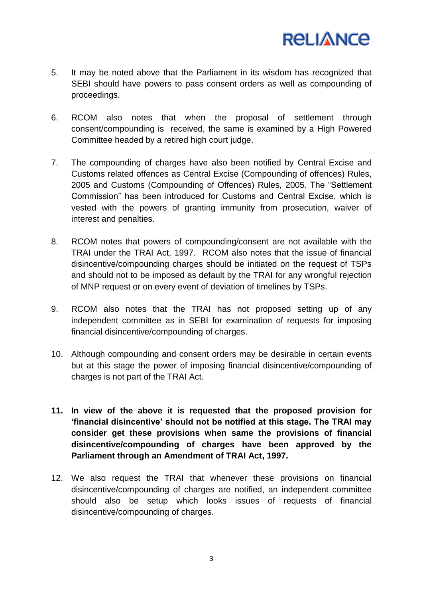

- 5. It may be noted above that the Parliament in its wisdom has recognized that SEBI should have powers to pass consent orders as well as compounding of proceedings.
- 6. RCOM also notes that when the proposal of settlement through consent/compounding is received, the same is examined by a High Powered Committee headed by a retired high court judge.
- 7. The compounding of charges have also been notified by Central Excise and Customs related offences as Central Excise (Compounding of offences) Rules, 2005 and Customs (Compounding of Offences) Rules, 2005. The "Settlement Commission" has been introduced for Customs and Central Excise, which is vested with the powers of granting immunity from prosecution, waiver of interest and penalties.
- 8. RCOM notes that powers of compounding/consent are not available with the TRAI under the TRAI Act, 1997. RCOM also notes that the issue of financial disincentive/compounding charges should be initiated on the request of TSPs and should not to be imposed as default by the TRAI for any wrongful rejection of MNP request or on every event of deviation of timelines by TSPs.
- 9. RCOM also notes that the TRAI has not proposed setting up of any independent committee as in SEBI for examination of requests for imposing financial disincentive/compounding of charges.
- 10. Although compounding and consent orders may be desirable in certain events but at this stage the power of imposing financial disincentive/compounding of charges is not part of the TRAI Act.
- **11. In view of the above it is requested that the proposed provision for "financial disincentive" should not be notified at this stage. The TRAI may consider get these provisions when same the provisions of financial disincentive/compounding of charges have been approved by the Parliament through an Amendment of TRAI Act, 1997.**
- 12. We also request the TRAI that whenever these provisions on financial disincentive/compounding of charges are notified, an independent committee should also be setup which looks issues of requests of financial disincentive/compounding of charges.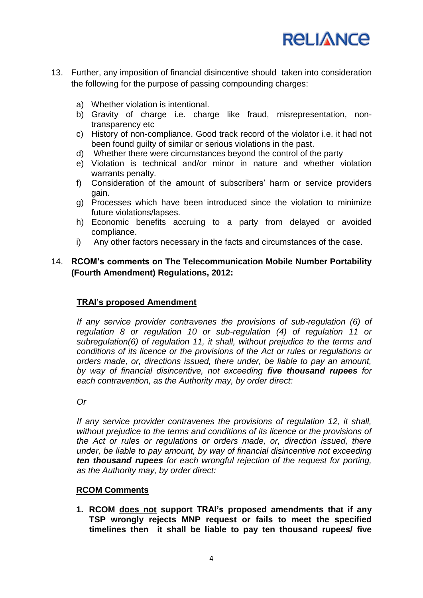

- 13. Further, any imposition of financial disincentive should taken into consideration the following for the purpose of passing compounding charges:
	- a) Whether violation is intentional.
	- b) Gravity of charge i.e. charge like fraud, misrepresentation, nontransparency etc
	- c) History of non-compliance. Good track record of the violator i.e. it had not been found guilty of similar or serious violations in the past.
	- d) Whether there were circumstances beyond the control of the party
	- e) Violation is technical and/or minor in nature and whether violation warrants penalty.
	- f) Consideration of the amount of subscribers" harm or service providers gain.
	- g) Processes which have been introduced since the violation to minimize future violations/lapses.
	- h) Economic benefits accruing to a party from delayed or avoided compliance.
	- i) Any other factors necessary in the facts and circumstances of the case.

### 14. **RCOM"s comments on The Telecommunication Mobile Number Portability (Fourth Amendment) Regulations, 2012:**

#### **TRAI"s proposed Amendment**

*If any service provider contravenes the provisions of sub-regulation (6) of regulation 8 or regulation 10 or sub-regulation (4) of regulation 11 or subregulation(6) of regulation 11, it shall, without prejudice to the terms and conditions of its licence or the provisions of the Act or rules or regulations or orders made, or, directions issued, there under, be liable to pay an amount, by way of financial disincentive, not exceeding five thousand rupees for each contravention, as the Authority may, by order direct:*

*Or*

*If any service provider contravenes the provisions of regulation 12, it shall, without prejudice to the terms and conditions of its licence or the provisions of the Act or rules or regulations or orders made, or, direction issued, there under, be liable to pay amount, by way of financial disincentive not exceeding ten thousand rupees for each wrongful rejection of the request for porting, as the Authority may, by order direct:*

#### **RCOM Comments**

**1. RCOM does not support TRAI"s proposed amendments that if any TSP wrongly rejects MNP request or fails to meet the specified timelines then it shall be liable to pay ten thousand rupees/ five**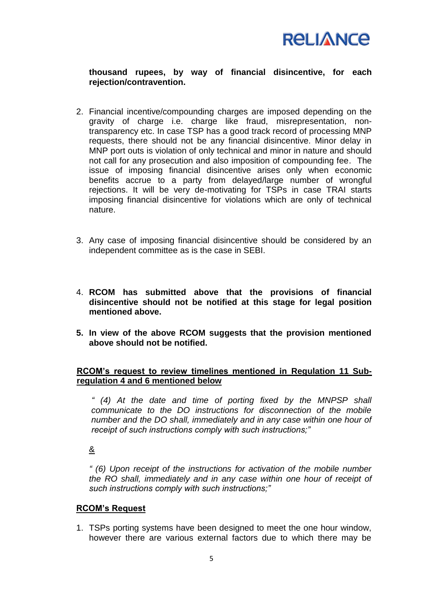

### **thousand rupees, by way of financial disincentive, for each rejection/contravention.**

- 2. Financial incentive/compounding charges are imposed depending on the gravity of charge i.e. charge like fraud, misrepresentation, nontransparency etc. In case TSP has a good track record of processing MNP requests, there should not be any financial disincentive. Minor delay in MNP port outs is violation of only technical and minor in nature and should not call for any prosecution and also imposition of compounding fee. The issue of imposing financial disincentive arises only when economic benefits accrue to a party from delayed/large number of wrongful rejections. It will be very de-motivating for TSPs in case TRAI starts imposing financial disincentive for violations which are only of technical nature.
- 3. Any case of imposing financial disincentive should be considered by an independent committee as is the case in SEBI.
- 4. **RCOM has submitted above that the provisions of financial disincentive should not be notified at this stage for legal position mentioned above.**
- **5. In view of the above RCOM suggests that the provision mentioned above should not be notified.**

#### **RCOM"s request to review timelines mentioned in Regulation 11 Subregulation 4 and 6 mentioned below**

*" (4) At the date and time of porting fixed by the MNPSP shall communicate to the DO instructions for disconnection of the mobile number and the DO shall, immediately and in any case within one hour of receipt of such instructions comply with such instructions;"*

&

*" (6) Upon receipt of the instructions for activation of the mobile number the RO shall, immediately and in any case within one hour of receipt of such instructions comply with such instructions;"*

#### **RCOM"s Request**

1. TSPs porting systems have been designed to meet the one hour window, however there are various external factors due to which there may be